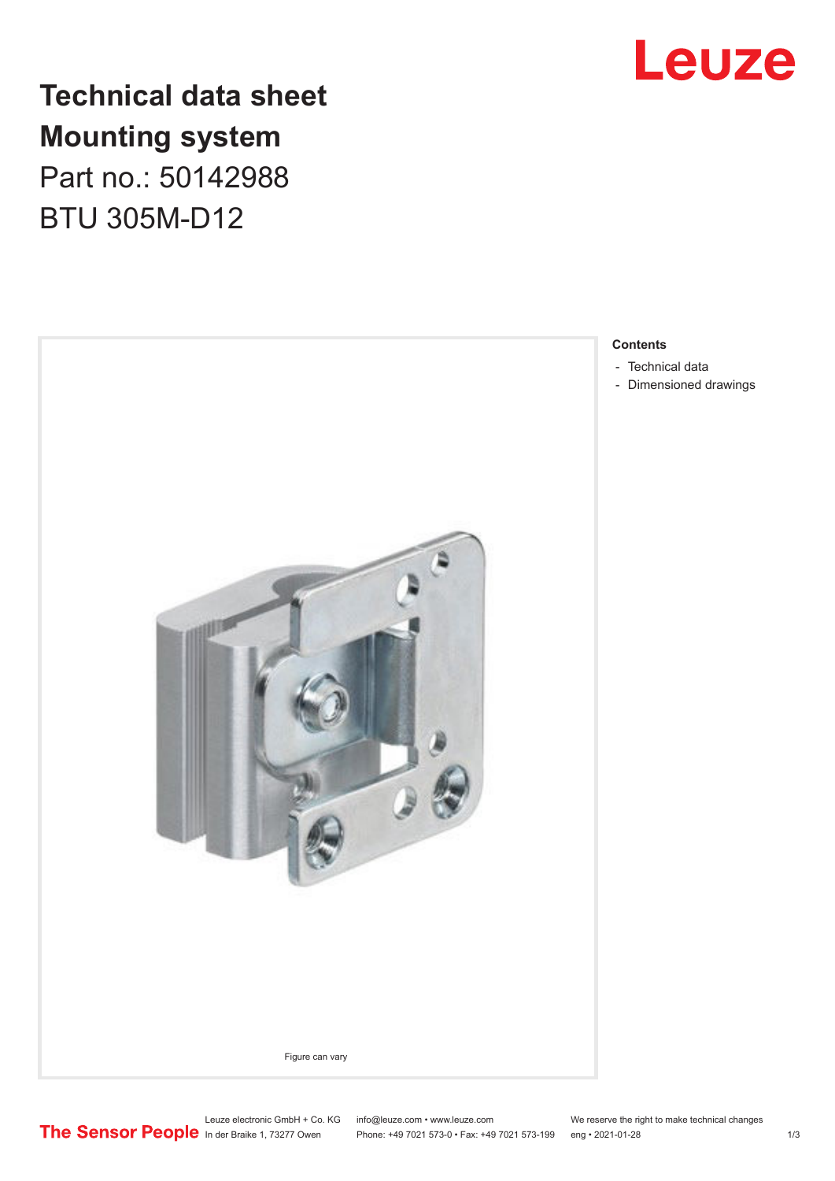

# **Technical data sheet Mounting system** Part no.: 50142988

BTU 305M-D12



**Contents**

- [Technical data](#page-1-0)
- [Dimensioned drawings](#page-2-0)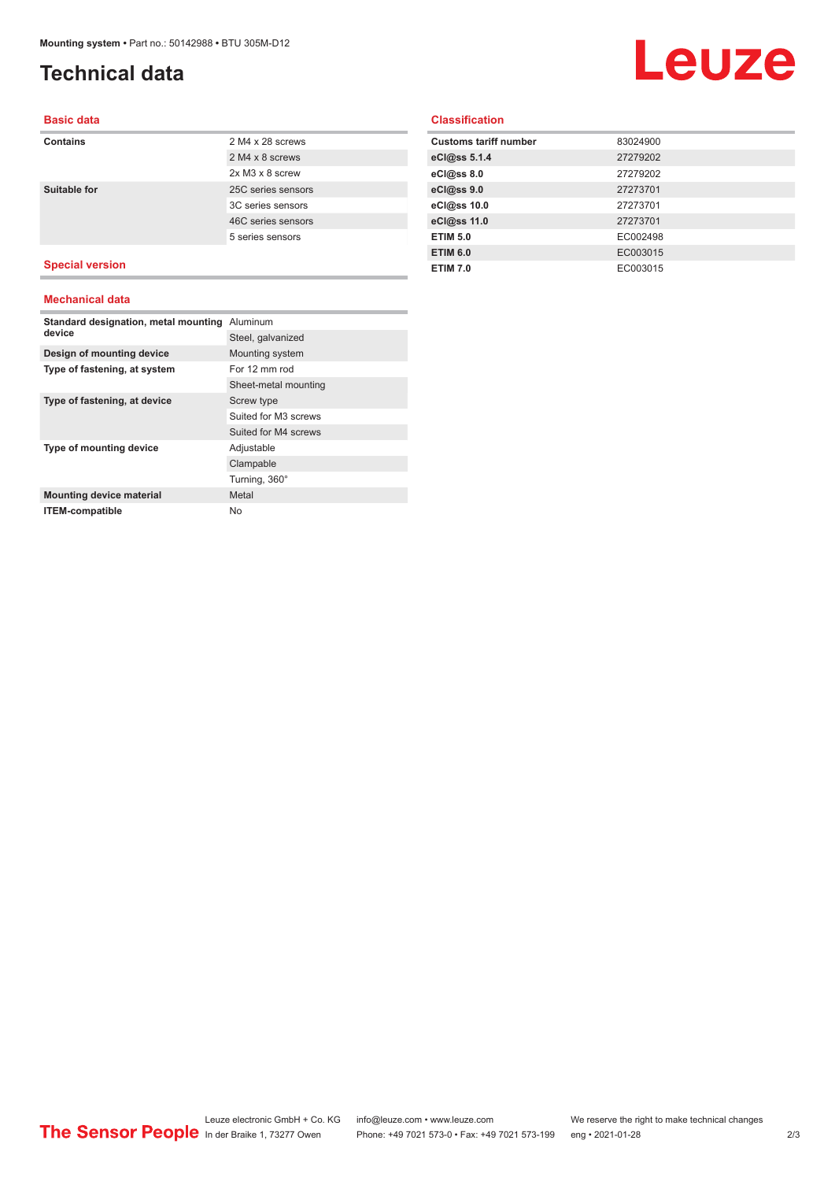# <span id="page-1-0"></span>**Technical data**

# Leuze

#### **Basic data**

### **Contains** 2 M4 x 28 screws 2 M4 x 8 screws 2x M3 x 8 screw **Suitable for** 25C series sensors 3C series sensors 46C series sensors 5 series sensors

### **Special version**

#### **Mechanical data**

| Standard designation, metal mounting<br>device | Aluminum             |
|------------------------------------------------|----------------------|
|                                                | Steel, galvanized    |
| Design of mounting device                      | Mounting system      |
| Type of fastening, at system                   | For 12 mm rod        |
|                                                | Sheet-metal mounting |
| Type of fastening, at device                   | Screw type           |
|                                                | Suited for M3 screws |
|                                                | Suited for M4 screws |
| Type of mounting device                        | Adjustable           |
|                                                | Clampable            |
|                                                | Turning, 360°        |
| <b>Mounting device material</b>                | Metal                |
| <b>ITEM-compatible</b>                         | No                   |

#### **Classification**

| <b>Customs tariff number</b> | 83024900 |
|------------------------------|----------|
| eCl@ss 5.1.4                 | 27279202 |
| $eC/\omega$ ss 8.0           | 27279202 |
| eCl@ss 9.0                   | 27273701 |
| eCl@ss 10.0                  | 27273701 |
| eCl@ss 11.0                  | 27273701 |
| <b>ETIM 5.0</b>              | EC002498 |
| <b>ETIM 6.0</b>              | EC003015 |
| <b>ETIM 7.0</b>              | EC003015 |
|                              |          |